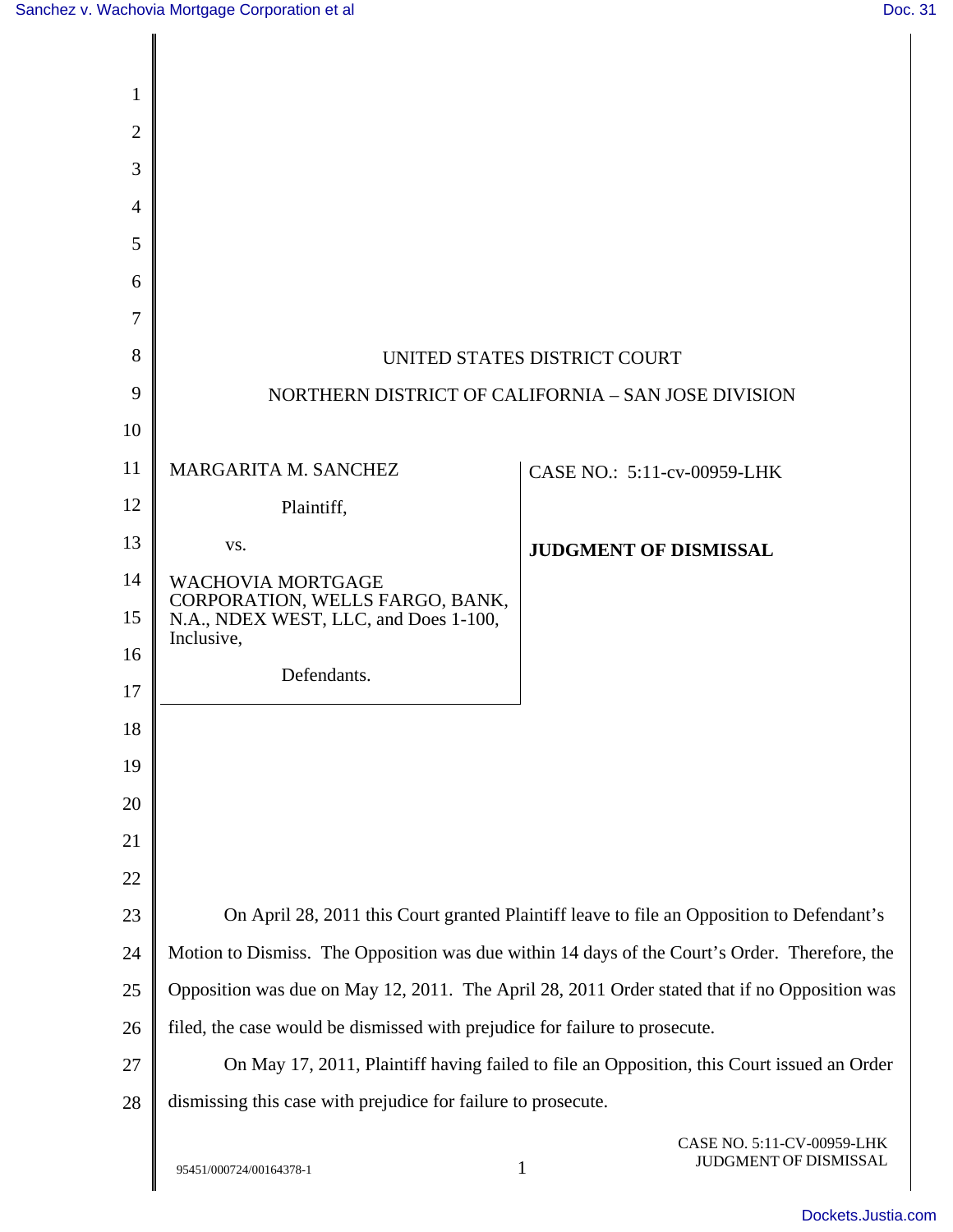| 1              |                                                                                               |                              |  |
|----------------|-----------------------------------------------------------------------------------------------|------------------------------|--|
| $\overline{2}$ |                                                                                               |                              |  |
| 3              |                                                                                               |                              |  |
| 4              |                                                                                               |                              |  |
| 5              |                                                                                               |                              |  |
| 6              |                                                                                               |                              |  |
| 7              |                                                                                               |                              |  |
| 8              | UNITED STATES DISTRICT COURT                                                                  |                              |  |
| 9              | NORTHERN DISTRICT OF CALIFORNIA - SAN JOSE DIVISION                                           |                              |  |
| 10             |                                                                                               |                              |  |
| 11             | MARGARITA M. SANCHEZ                                                                          | CASE NO.: 5:11-cv-00959-LHK  |  |
| 12             | Plaintiff,                                                                                    |                              |  |
| 13             | VS.                                                                                           | <b>JUDGMENT OF DISMISSAL</b> |  |
| 14             | <b>WACHOVIA MORTGAGE</b><br>CORPORATION, WELLS FARGO, BANK,                                   |                              |  |
| 15             | N.A., NDEX WEST, LLC, and Does 1-100,<br>Inclusive,                                           |                              |  |
| 16             | Defendants.                                                                                   |                              |  |
| 17             |                                                                                               |                              |  |
| 18             |                                                                                               |                              |  |
| 19             |                                                                                               |                              |  |
| 20             |                                                                                               |                              |  |
| 21             |                                                                                               |                              |  |
| 22             |                                                                                               |                              |  |
| 23             | On April 28, 2011 this Court granted Plaintiff leave to file an Opposition to Defendant's     |                              |  |
| 24             | Motion to Dismiss. The Opposition was due within 14 days of the Court's Order. Therefore, the |                              |  |
| 25             | Opposition was due on May 12, 2011. The April 28, 2011 Order stated that if no Opposition was |                              |  |
| 26             | filed, the case would be dismissed with prejudice for failure to prosecute.                   |                              |  |
| 27             | On May 17, 2011, Plaintiff having failed to file an Opposition, this Court issued an Order    |                              |  |
| 28             | dismissing this case with prejudice for failure to prosecute.                                 |                              |  |
|                |                                                                                               | CASE NO. 5:11-CV-00959-LHK   |  |

CASE NO. 5:11-CV-00959-LHK JUDGMENT OF DISMISSAL